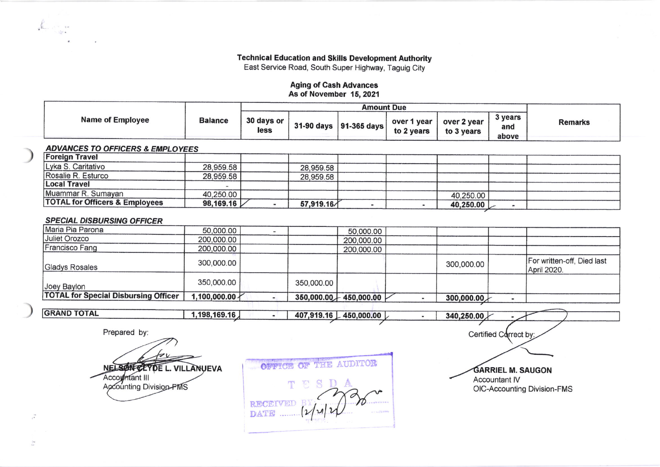**Technical Education and Skills Development Authority** 

East Service Road, South Super Highway, Taguig City

## **Aging of Cash Advances** As of November 15, 2021

| <b>Name of Employee</b> | <b>Balance</b> | 30 days or<br>less |  | 31-90 days $ 91-365$ days $ $ | over 1 year<br>to 2 years | over 2 year<br>to 3 years | 3 years<br>and<br>above | Remarks |
|-------------------------|----------------|--------------------|--|-------------------------------|---------------------------|---------------------------|-------------------------|---------|

## **ADVANCES TO OFFICERS & EMPLOYEES**

| <b>Foreign Travel</b>                     |           |           |  |             |  |
|-------------------------------------------|-----------|-----------|--|-------------|--|
| Lyka S. Caritativo                        | 28,959.58 | 28,959.58 |  |             |  |
| Rosalie R. Esturco                        | 28,959.58 | 28,959.58 |  |             |  |
| <b>Local Travel</b>                       |           |           |  |             |  |
| Muammar R. Sumayan                        | 40,250.00 |           |  | 40,250.00   |  |
| <b>TOTAL for Officers &amp; Employees</b> | 98,169.16 | 57,919.16 |  | 40,250.00 L |  |

## **SPECIAL DISBURSING OFFICER**

| Maria Pia Parona                            | 50,000.00    |            | 50,000.00             |            |                                           |
|---------------------------------------------|--------------|------------|-----------------------|------------|-------------------------------------------|
| Juliet Orozco                               | 200,000.00   |            | 200,000.00            |            |                                           |
| Francisco Fang                              | 200,000.00   |            | 200,000.00            |            |                                           |
| Gladys Rosales                              | 300,000.00   |            |                       | 300,000.00 | For written-off, Died last<br>April 2020. |
| Joey Baylon                                 | 350,000.00   | 350,000.00 |                       |            |                                           |
| <b>TOTAL for Special Disbursing Officer</b> | 1,100,000.00 |            | 350,000.00 450,000.00 | 300,000.00 |                                           |
|                                             |              |            |                       |            |                                           |

**GRAND TOTAL** 1,198,169.16 407,919.16 450,000.00 340,250.00 **A**  $\blacksquare$ 

Prepared by:

 $\frac{1}{2}$ 

 $\tilde{\Gamma}$ 

NELSON CLYDE L. VILLANUEVA Accountant III<br>Accounting Division-FMS

OFFICE OF THE AUDITOR T 73 **RECEIVED DATE** 

Certified Correct by: **GARRIEL M. SAUGON** 

Accountant IV OIC-Accounting Division-FMS